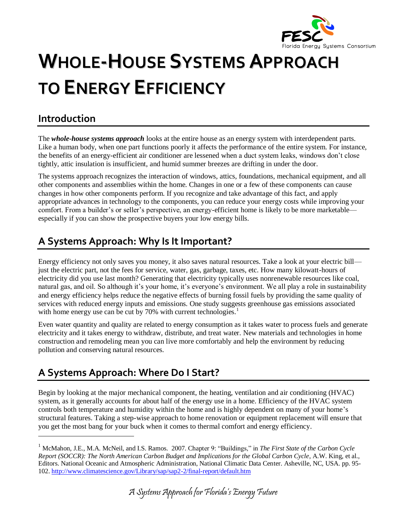

# **WHOLE-HOUSE SYSTEMS APPROACH TO ENERGY EFFICIENCY**

## **Introduction**

 $\overline{a}$ 

The *whole-house systems approach* looks at the entire house as an energy system with interdependent parts. Like a human body, when one part functions poorly it affects the performance of the entire system. For instance, the benefits of an energy-efficient air conditioner are lessened when a duct system leaks, windows don't close tightly, attic insulation is insufficient, and humid summer breezes are drifting in under the door.

The systems approach recognizes the interaction of windows, attics, foundations, mechanical equipment, and all other components and assemblies within the home. Changes in one or a few of these components can cause changes in how other components perform. If you recognize and take advantage of this fact, and apply appropriate advances in technology to the components, you can reduce your energy costs while improving your comfort. From a builder's or seller's perspective, an energy-efficient home is likely to be more marketable especially if you can show the prospective buyers your low energy bills.

# **A Systems Approach: Why Is It Important?**

Energy efficiency not only saves you money, it also saves natural resources. Take a look at your electric bill just the electric part, not the fees for service, water, gas, garbage, taxes, etc. How many kilowatt-hours of electricity did you use last month? Generating that electricity typically uses nonrenewable resources like coal, natural gas, and oil. So although it's your home, it's everyone's environment. We all play a role in sustainability and energy efficiency helps reduce the negative effects of burning fossil fuels by providing the same quality of services with reduced energy inputs and emissions. One study suggests greenhouse gas emissions associated with home energy use can be cut by  $70\%$  with current technologies.<sup>1</sup>

Even water quantity and quality are related to energy consumption as it takes water to process fuels and generate electricity and it takes energy to withdraw, distribute, and treat water. New materials and technologies in home construction and remodeling mean you can live more comfortably and help the environment by reducing pollution and conserving natural resources.

# **A Systems Approach: Where Do I Start?**

Begin by looking at the major mechanical component, the heating, ventilation and air conditioning (HVAC) system, as it generally accounts for about half of the energy use in a home. Efficiency of the HVAC system controls both temperature and humidity within the home and is highly dependent on many of your home's structural features. Taking a step-wise approach to home renovation or equipment replacement will ensure that you get the most bang for your buck when it comes to thermal comfort and energy efficiency.

<sup>1</sup> McMahon, J.E., M.A. McNeil, and I.S. Ramos. 2007. Chapter 9: "Buildings," in *The First State of the Carbon Cycle Report (SOCCR): The North American Carbon Budget and Implications for the Global Carbon Cycle*, A.W. King, et al., Editors. National Oceanic and Atmospheric Administration, National Climatic Data Center. Asheville, NC, USA. pp. 95- 102[. http://www.climatescience.gov/Library/sap/sap2-2/final-report/default.htm](http://www.climatescience.gov/Library/sap/sap2-2/final-report/default.htm)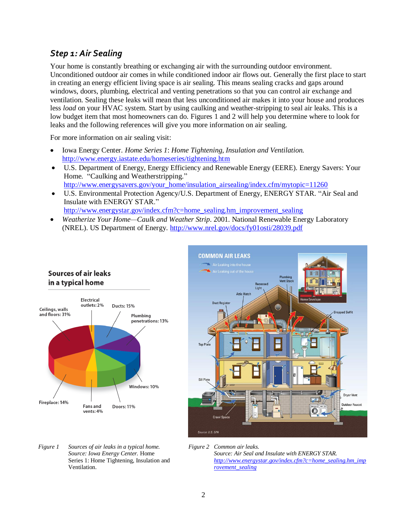#### *Step 1: Air Sealing*

Your home is constantly breathing or exchanging air with the surrounding outdoor environment. Unconditioned outdoor air comes in while conditioned indoor air flows out. Generally the first place to start in creating an energy efficient living space is air sealing. This means sealing cracks and gaps around windows, doors, plumbing, electrical and venting penetrations so that you can control air exchange and ventilation. Sealing these leaks will mean that less unconditioned air makes it into your house and produces less *load* on your HVAC system. Start by using caulking and weather-stripping to seal air leaks. This is a low budget item that most homeowners can do. Figures 1 and 2 will help you determine where to look for leaks and the following references will give you more information on air sealing.

For more information on air sealing visit:

- $\bullet$ Iowa Energy Center. *Home Series 1*: *Home Tightening, Insulation and Ventilation.* <http://www.energy.iastate.edu/homeseries/tightening.htm>
- U.S. Department of Energy, Energy Efficiency and Renewable Energy (EERE). Energy Savers: Your Home. "Caulking and Weatherstripping." [http://www.energysavers.gov/your\\_home/insulation\\_airsealing/index.cfm/mytopic=11260](http://www.energysavers.gov/your_home/insulation_airsealing/index.cfm/mytopic=11260)
- $\bullet$ U.S. Environmental Protection Agency/U.S. Department of Energy, ENERGY STAR. "Air Seal and Insulate with ENERGY STAR." [http://www.energystar.gov/index.cfm?c=home\\_sealing.hm\\_improvement\\_sealing](http://www.energystar.gov/index.cfm?c=home_sealing.hm_improvement_sealing)
- *Weatherize Your Home—Caulk and Weather Strip*. 2001. National Renewable Energy Laboratory  $\bullet$ (NREL). US Department of Energy.<http://www.nrel.gov/docs/fy01osti/28039.pdf>





- *Figure 1 Sources of air leaks in a typical home. Source: Iowa Energy Center.* Home Series 1: Home Tightening, Insulation and Ventilation.
- *Figure 2 Common air leaks. Source: Air Seal and Insulate with ENERGY STAR. [http://www.energystar.gov/index.cfm?c=home\\_sealing.hm\\_imp](http://www.energystar.gov/index.cfm?c=home_sealing.hm_improvement_sealing) [rovement\\_sealing](http://www.energystar.gov/index.cfm?c=home_sealing.hm_improvement_sealing)*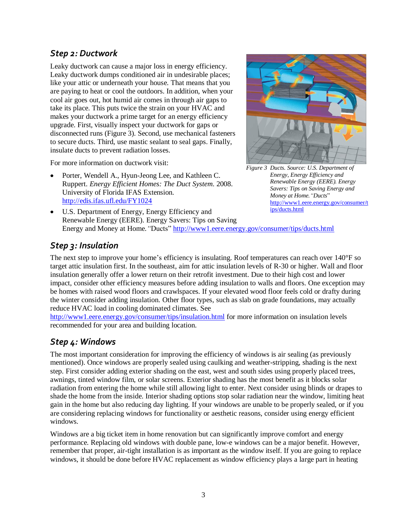#### *Step 2: Ductwork*

Leaky ductwork can cause a major loss in energy efficiency. Leaky ductwork dumps conditioned air in undesirable places; like your attic or underneath your house. That means that you are paying to heat or cool the outdoors. In addition, when your cool air goes out, hot humid air comes in through air gaps to take its place. This puts twice the strain on your HVAC and makes your ductwork a prime target for an energy efficiency upgrade. First, visually inspect your ductwork for gaps or disconnected runs (Figure 3). Second, use mechanical fasteners to secure ducts. Third, use mastic sealant to seal gaps. Finally, insulate ducts to prevent radiation losses.

For more information on ductwork visit:

Porter, Wendell A., Hyun-Jeong Lee, and Kathleen C. Ruppert. *Energy Efficient Homes: The Duct System*. 2008. University of Florida IFAS Extension. <http://edis.ifas.ufl.edu/FY1024>



*Figure 3 Ducts. Source: U.S. Department of Energy, Energy Efficiency and Renewable Energy (EERE). Energy Savers: Tips on Saving Energy and Money at Home."Ducts*" [http://www1.eere.energy.gov/consumer/t](http://www1.eere.energy.gov/consumer/tips/ducts.html) [ips/ducts.html](http://www1.eere.energy.gov/consumer/tips/ducts.html)

U.S. Department of Energy, Energy Efficiency and  $\bullet$ Renewable Energy (EERE). Energy Savers: Tips on Saving Energy and Money at Home.*"*Ducts"<http://www1.eere.energy.gov/consumer/tips/ducts.html>

#### *Step 3: Insulation*

The next step to improve your home's efficiency is insulating. Roof temperatures can reach over 140°F so target attic insulation first. In the southeast, aim for attic insulation levels of R-30 or higher. Wall and floor insulation generally offer a lower return on their retrofit investment. Due to their high cost and lower impact, consider other efficiency measures before adding insulation to walls and floors. One exception may be homes with raised wood floors and crawlspaces. If your elevated wood floor feels cold or drafty during the winter consider adding insulation. Other floor types, such as slab on grade foundations, may actually reduce HVAC load in cooling dominated climates. See

<http://www1.eere.energy.gov/consumer/tips/insulation.html> for more information on insulation levels recommended for your area and building location.

#### *Step 4: Windows*

The most important consideration for improving the efficiency of windows is air sealing (as previously mentioned). Once windows are properly sealed using caulking and weather-stripping, shading is the next step. First consider adding exterior shading on the east, west and south sides using properly placed trees, awnings, tinted window film, or solar screens. Exterior shading has the most benefit as it blocks solar radiation from entering the home while still allowing light to enter. Next consider using blinds or drapes to shade the home from the inside. Interior shading options stop solar radiation near the window, limiting heat gain in the home but also reducing day lighting. If your windows are unable to be properly sealed, or if you are considering replacing windows for functionality or aesthetic reasons, consider using energy efficient windows.

Windows are a big ticket item in home renovation but can significantly improve comfort and energy performance. Replacing old windows with double pane, low-e windows can be a major benefit. However, remember that proper, air-tight installation is as important as the window itself. If you are going to replace windows, it should be done before HVAC replacement as window efficiency plays a large part in heating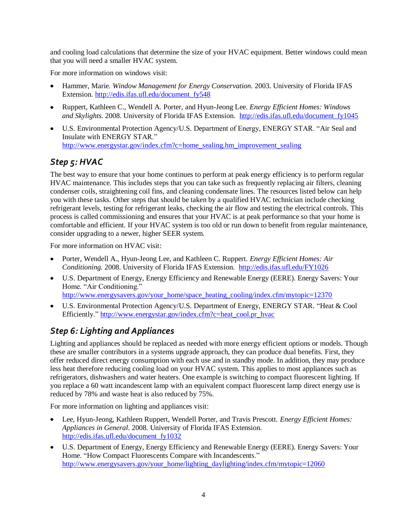and cooling load calculations that determine the size of your HVAC equipment. Better windows could mean that you will need a smaller HVAC system.

For more information on windows visit:

- Hammer, Marie. *Window Management for Energy Conservation.* 2003. University of Florida IFAS  $\bullet$ Extension. [http://edis.ifas.ufl.edu/document\\_fy548](http://edis.ifas.ufl.edu/document_fy548)
- Ruppert, Kathleen C., Wendell A. Porter, and Hyun-Jeong Lee. *Energy Efficient Homes: Windows and Skylights*. 2008. University of Florida IFAS Extension. [http://edis.ifas.ufl.edu/document\\_fy1045](http://edis.ifas.ufl.edu/document_fy1045)
- U.S. Environmental Protection Agency/U.S. Department of Energy, ENERGY STAR. "Air Seal and Insulate with ENERGY STAR." [http://www.energystar.gov/index.cfm?c=home\\_sealing.hm\\_improvement\\_sealing](http://www.energystar.gov/index.cfm?c=home_sealing.hm_improvement_sealing)

## *Step 5: HVAC*

The best way to ensure that your home continues to perform at peak energy efficiency is to perform regular HVAC maintenance. This includes steps that you can take such as frequently replacing air filters, cleaning condenser coils, straightening coil fins, and cleaning condensate lines. The resources listed below can help you with these tasks. Other steps that should be taken by a qualified HVAC technician include checking refrigerant levels, testing for refrigerant leaks, checking the air flow and testing the electrical controls. This process is called commissioning and ensures that your HVAC is at peak performance so that your home is comfortable and efficient. If your HVAC system is too old or run down to benefit from regular maintenance, consider upgrading to a newer, higher SEER system.

For more information on HVAC visit:

- $\bullet$ Porter, Wendell A., Hyun-Jeong Lee, and Kathleen C. Ruppert. *Energy Efficient Homes: Air Conditioning*. 2008. University of Florida IFAS Extension. <http://edis.ifas.ufl.edu/FY1026>
- U.S. Department of Energy, Energy Efficiency and Renewable Energy (EERE). Energy Savers: Your Home. "Air Conditioning." [http://www.energysavers.gov/your\\_home/space\\_heating\\_cooling/index.cfm/mytopic=12370](http://www.energysavers.gov/your_home/space_heating_cooling/index.cfm/mytopic=12370)
- U.S. Environmental Protection Agency/U.S. Department of Energy, ENERGY STAR. "Heat & Cool Efficiently." [http://www.energystar.gov/index.cfm?c=heat\\_cool.pr\\_hvac](http://www.energystar.gov/index.cfm?c=heat_cool.pr_hvac)

## *Step 6: Lighting and Appliances*

Lighting and appliances should be replaced as needed with more energy efficient options or models. Though these are smaller contributors in a systems upgrade approach, they can produce dual benefits. First, they offer reduced direct energy consumption with each use and in standby mode. In addition, they may produce less heat therefore reducing cooling load on your HVAC system. This applies to most appliances such as refrigerators, dishwashers and water heaters. One example is switching to compact fluorescent lighting. If you replace a 60 watt incandescent lamp with an equivalent compact fluorescent lamp direct energy use is reduced by 78% and waste heat is also reduced by 75%.

For more information on lighting and appliances visit:

- Lee, Hyun-Jeong, Kathleen Ruppert, Wendell Porter, and Travis Prescott. *Energy Efficient Homes: Appliances in General*. 2008. University of Florida IFAS Extension. [http://edis.ifas.ufl.edu/document\\_fy1032](http://edis.ifas.ufl.edu/document_fy1032)
- U.S. Department of Energy, Energy Efficiency and Renewable Energy (EERE). Energy Savers: Your Home. "How Compact Fluorescents Compare with Incandescents." [http://www.energysavers.gov/your\\_home/lighting\\_daylighting/index.cfm/mytopic=12060](http://www.energysavers.gov/your_home/lighting_daylighting/index.cfm/mytopic=12060)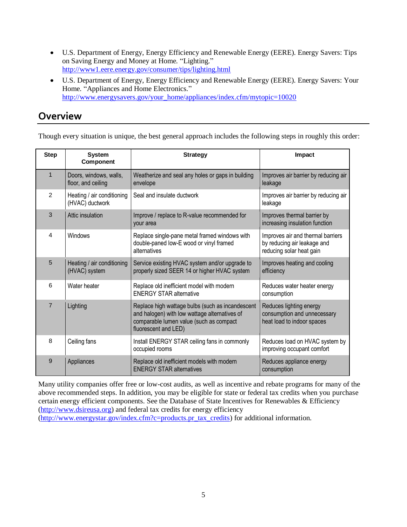- U.S. Department of Energy, Energy Efficiency and Renewable Energy (EERE). Energy Savers: Tips on Saving Energy and Money at Home. "Lighting." <http://www1.eere.energy.gov/consumer/tips/lighting.html>
- U.S. Department of Energy, Energy Efficiency and Renewable Energy (EERE). Energy Savers: Your Home. "Appliances and Home Electronics." [http://www.energysavers.gov/your\\_home/appliances/index.cfm/mytopic=10020](http://www.energysavers.gov/your_home/appliances/index.cfm/mytopic=10020)

### **Overview**

Though every situation is unique, the best general approach includes the following steps in roughly this order:

| <b>Step</b>    | <b>System</b><br>Component                    | <b>Strategy</b>                                                                                                                                                      | Impact                                                                                       |
|----------------|-----------------------------------------------|----------------------------------------------------------------------------------------------------------------------------------------------------------------------|----------------------------------------------------------------------------------------------|
| $\mathbf{1}$   | Doors, windows, walls,<br>floor, and ceiling  | Weatherize and seal any holes or gaps in building<br>envelope                                                                                                        | Improves air barrier by reducing air<br>leakage                                              |
| $\mathcal{P}$  | Heating / air conditioning<br>(HVAC) ductwork | Seal and insulate ductwork                                                                                                                                           | Improves air barrier by reducing air<br>leakage                                              |
| 3              | Attic insulation                              | Improve / replace to R-value recommended for<br>your area                                                                                                            | Improves thermal barrier by<br>increasing insulation function                                |
| 4              | Windows                                       | Replace single-pane metal framed windows with<br>double-paned low-E wood or vinyl framed<br>alternatives                                                             | Improves air and thermal barriers<br>by reducing air leakage and<br>reducing solar heat gain |
| 5              | Heating / air conditioning<br>(HVAC) system   | Service existing HVAC system and/or upgrade to<br>properly sized SEER 14 or higher HVAC system                                                                       | Improves heating and cooling<br>efficiency                                                   |
| 6              | Water heater                                  | Replace old inefficient model with modern<br><b>ENERGY STAR alternative</b>                                                                                          | Reduces water heater energy<br>consumption                                                   |
| $\overline{7}$ | Lighting                                      | Replace high wattage bulbs (such as incandescent<br>and halogen) with low wattage alternatives of<br>comparable lumen value (such as compact<br>fluorescent and LED) | Reduces lighting energy<br>consumption and unnecessary<br>heat load to indoor spaces         |
| 8              | Ceiling fans                                  | Install ENERGY STAR ceiling fans in commonly<br>occupied rooms                                                                                                       | Reduces load on HVAC system by<br>improving occupant comfort                                 |
| 9              | Appliances                                    | Replace old inefficient models with modern<br><b>ENERGY STAR alternatives</b>                                                                                        | Reduces appliance energy<br>consumption                                                      |

Many utility companies offer free or low-cost audits, as well as incentive and rebate programs for many of the above recommended steps. In addition, you may be eligible for state or federal tax credits when you purchase certain energy efficient components. See the Database of State Incentives for Renewables & Efficiency [\(http://www.dsireusa.org\)](http://www.dsireusa.org/) and federal tax credits for energy efficiency [\(http://www.energystar.gov/index.cfm?c=products.pr\\_tax\\_credits\)](http://www.energystar.gov/index.cfm?c=products.pr_tax_credits) for additional information.